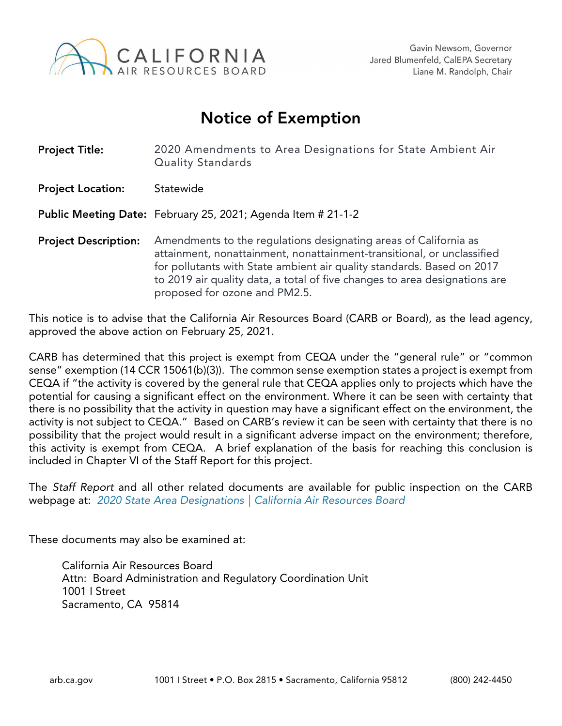

## Notice of Exemption

| <b>Project Title:</b>       | 2020 Amendments to Area Designations for State Ambient Air<br>Quality Standards                                                                                                                                                                                                                                                     |
|-----------------------------|-------------------------------------------------------------------------------------------------------------------------------------------------------------------------------------------------------------------------------------------------------------------------------------------------------------------------------------|
| <b>Project Location:</b>    | Statewide                                                                                                                                                                                                                                                                                                                           |
|                             | <b>Public Meeting Date:</b> February 25, 2021; Agenda Item # 21-1-2                                                                                                                                                                                                                                                                 |
| <b>Project Description:</b> | Amendments to the regulations designating areas of California as<br>attainment, nonattainment, nonattainment-transitional, or unclassified<br>for pollutants with State ambient air quality standards. Based on 2017<br>to 2019 air quality data, a total of five changes to area designations are<br>proposed for ozone and PM2.5. |

This notice is to advise that the California Air Resources Board (CARB or Board), as the lead agency, approved the above action on February 25, 2021.

CARB has determined that this project is exempt from CEQA under the "general rule" or "common sense" exemption (14 CCR 15061(b)(3)). The common sense exemption states a project is exempt from CEQA if "the activity is covered by the general rule that CEQA applies only to projects which have the potential for causing a significant effect on the environment. Where it can be seen with certainty that there is no possibility that the activity in question may have a significant effect on the environment, the activity is not subject to CEQA." Based on CARB's review it can be seen with certainty that there is no possibility that the project would result in a significant adverse impact on the environment; therefore, this activity is exempt from CEQA. A brief explanation of the basis for reaching this conclusion is included in Chapter VI of the Staff Report for this project*.*

The *Staff Report* and all other related documents are available for public inspection on the CARB webpage at: *[2020 State Area Designations | California Air Resources Board](https://ww2.arb.ca.gov/rulemaking/2021/sad2020)*

These documents may also be examined at:

California Air Resources Board Attn: Board Administration and Regulatory Coordination Unit 1001 I Street Sacramento, CA 95814